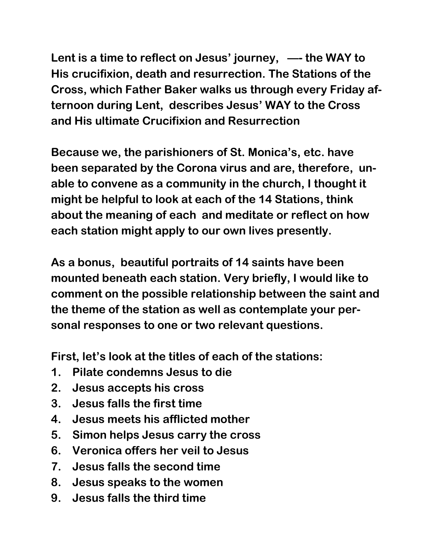**Lent is a time to reflect on Jesus' journey, —- the WAY to His crucifixion, death and resurrection. The Stations of the Cross, which Father Baker walks us through every Friday afternoon during Lent, describes Jesus' WAY to the Cross and His ultimate Crucifixion and Resurrection**

**Because we, the parishioners of St. Monica's, etc. have been separated by the Corona virus and are, therefore, unable to convene as a community in the church, I thought it might be helpful to look at each of the 14 Stations, think about the meaning of each and meditate or reflect on how each station might apply to our own lives presently.**

**As a bonus, beautiful portraits of 14 saints have been mounted beneath each station. Very briefly, I would like to comment on the possible relationship between the saint and the theme of the station as well as contemplate your personal responses to one or two relevant questions.**

**First, let's look at the titles of each of the stations:**

- **1. Pilate condemns Jesus to die**
- **2. Jesus accepts his cross**
- **3. Jesus falls the first time**
- **4. Jesus meets his afflicted mother**
- **5. Simon helps Jesus carry the cross**
- **6. Veronica offers her veil to Jesus**
- **7. Jesus falls the second time**
- **8. Jesus speaks to the women**
- **9. Jesus falls the third time**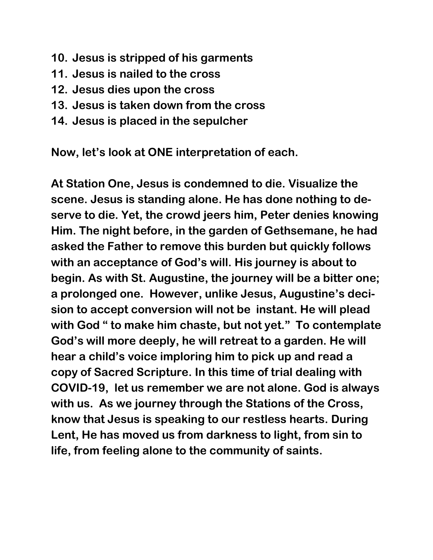- **10. Jesus is stripped of his garments**
- **11. Jesus is nailed to the cross**
- **12. Jesus dies upon the cross**
- **13. Jesus is taken down from the cross**
- **14. Jesus is placed in the sepulcher**

**Now, let's look at ONE interpretation of each.**

**At Station One, Jesus is condemned to die. Visualize the scene. Jesus is standing alone. He has done nothing to deserve to die. Yet, the crowd jeers him, Peter denies knowing Him. The night before, in the garden of Gethsemane, he had asked the Father to remove this burden but quickly follows with an acceptance of God's will. His journey is about to begin. As with St. Augustine, the journey will be a bitter one; a prolonged one. However, unlike Jesus, Augustine's decision to accept conversion will not be instant. He will plead with God " to make him chaste, but not yet." To contemplate God's will more deeply, he will retreat to a garden. He will hear a child's voice imploring him to pick up and read a copy of Sacred Scripture. In this time of trial dealing with COVID-19, let us remember we are not alone. God is always with us. As we journey through the Stations of the Cross, know that Jesus is speaking to our restless hearts. During Lent, He has moved us from darkness to light, from sin to life, from feeling alone to the community of saints.**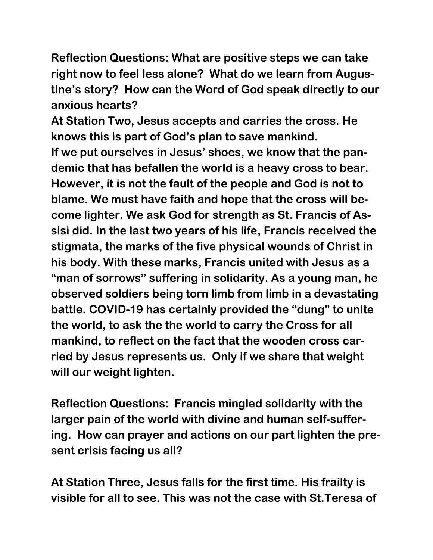**Reflection Questions: What are positive steps we can take right now to feel less alone? What do we learn from Augustine's story? How can the Word of God speak directly to our anxious hearts?**

**At Station Two, Jesus accepts and carries the cross. He knows this is part of God's plan to save mankind.**

**If we put ourselves in Jesus' shoes, we know that the pandemic that has befallen the world is a heavy cross to bear. However, it is not the fault of the people and God is not to blame. We must have faith and hope that the cross will become lighter. We ask God for strength as St. Francis of Assisi did. In the last two years of his life, Francis received the stigmata, the marks of the five physical wounds of Christ in his body. With these marks, Francis united with Jesus as a "man of sorrows" suffering in solidarity. As a young man, he observed soldiers being torn limb from limb in a devastating battle. COVID-19 has certainly provided the "dung" to unite the world, to ask the the world to carry the Cross for all mankind, to reflect on the fact that the wooden cross carried by Jesus represents us. Only if we share that weight will our weight lighten.**

**Reflection Questions: Francis mingled solidarity with the larger pain of the world with divine and human self-suffering. How can prayer and actions on our part lighten the present crisis facing us all?**

**At Station Three, Jesus falls for the first time. His frailty is visible for all to see. This was not the case with St.Teresa of**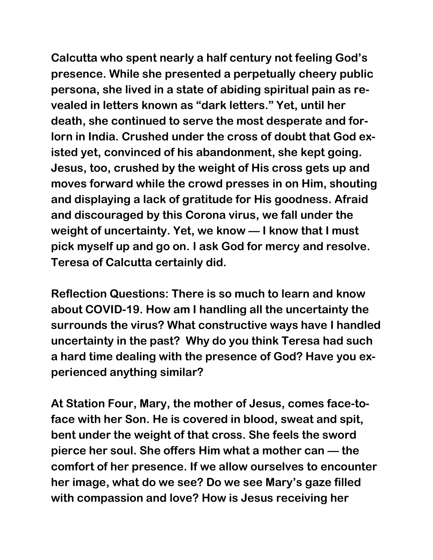**Calcutta who spent nearly a half century not feeling God's presence. While she presented a perpetually cheery public persona, she lived in a state of abiding spiritual pain as revealed in letters known as "dark letters." Yet, until her death, she continued to serve the most desperate and forlorn in India. Crushed under the cross of doubt that God existed yet, convinced of his abandonment, she kept going. Jesus, too, crushed by the weight of His cross gets up and moves forward while the crowd presses in on Him, shouting and displaying a lack of gratitude for His goodness. Afraid and discouraged by this Corona virus, we fall under the weight of uncertainty. Yet, we know — I know that I must pick myself up and go on. I ask God for mercy and resolve. Teresa of Calcutta certainly did.**

**Reflection Questions: There is so much to learn and know about COVID-19. How am I handling all the uncertainty the surrounds the virus? What constructive ways have I handled uncertainty in the past? Why do you think Teresa had such a hard time dealing with the presence of God? Have you experienced anything similar?**

**At Station Four, Mary, the mother of Jesus, comes face-toface with her Son. He is covered in blood, sweat and spit, bent under the weight of that cross. She feels the sword pierce her soul. She offers Him what a mother can — the comfort of her presence. If we allow ourselves to encounter her image, what do we see? Do we see Mary's gaze filled with compassion and love? How is Jesus receiving her**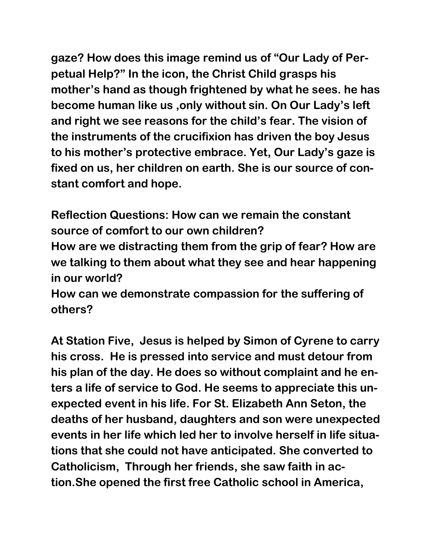**gaze? How does this image remind us of "Our Lady of Perpetual Help?" In the icon, the Christ Child grasps his mother's hand as though frightened by what he sees. he has become human like us ,only without sin. On Our Lady's left and right we see reasons for the child's fear. The vision of the instruments of the crucifixion has driven the boy Jesus to his mother's protective embrace. Yet, Our Lady's gaze is fixed on us, her children on earth. She is our source of constant comfort and hope.**

**Reflection Questions: How can we remain the constant source of comfort to our own children? How are we distracting them from the grip of fear? How are we talking to them about what they see and hear happening in our world?** 

**How can we demonstrate compassion for the suffering of others?**

**At Station Five, Jesus is helped by Simon of Cyrene to carry his cross. He is pressed into service and must detour from his plan of the day. He does so without complaint and he enters a life of service to God. He seems to appreciate this unexpected event in his life. For St. Elizabeth Ann Seton, the deaths of her husband, daughters and son were unexpected events in her life which led her to involve herself in life situations that she could not have anticipated. She converted to Catholicism, Through her friends, she saw faith in action.She opened the first free Catholic school in America,**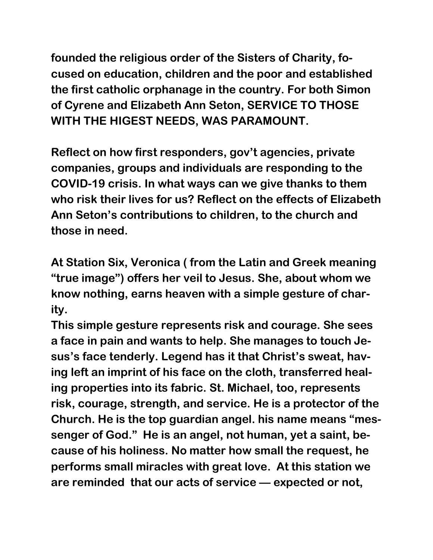**founded the religious order of the Sisters of Charity, focused on education, children and the poor and established the first catholic orphanage in the country. For both Simon of Cyrene and Elizabeth Ann Seton, SERVICE TO THOSE WITH THE HIGEST NEEDS, WAS PARAMOUNT.**

**Reflect on how first responders, gov't agencies, private companies, groups and individuals are responding to the COVID-19 crisis. In what ways can we give thanks to them who risk their lives for us? Reflect on the effects of Elizabeth Ann Seton's contributions to children, to the church and those in need.**

**At Station Six, Veronica ( from the Latin and Greek meaning "true image") offers her veil to Jesus. She, about whom we know nothing, earns heaven with a simple gesture of charity.**

**This simple gesture represents risk and courage. She sees a face in pain and wants to help. She manages to touch Jesus's face tenderly. Legend has it that Christ's sweat, having left an imprint of his face on the cloth, transferred healing properties into its fabric. St. Michael, too, represents risk, courage, strength, and service. He is a protector of the Church. He is the top guardian angel. his name means "messenger of God." He is an angel, not human, yet a saint, because of his holiness. No matter how small the request, he performs small miracles with great love. At this station we are reminded that our acts of service — expected or not,**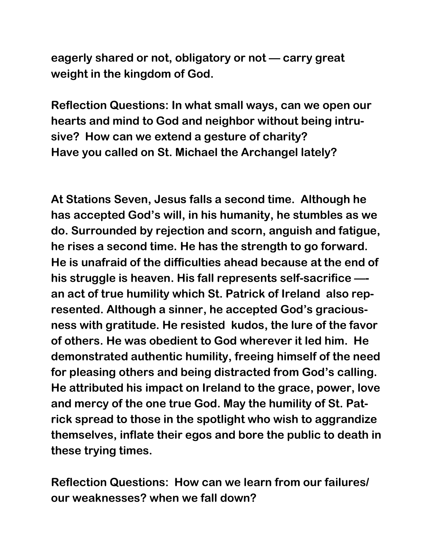**eagerly shared or not, obligatory or not — carry great weight in the kingdom of God.**

**Reflection Questions: In what small ways, can we open our hearts and mind to God and neighbor without being intrusive? How can we extend a gesture of charity? Have you called on St. Michael the Archangel lately?**

**At Stations Seven, Jesus falls a second time. Although he has accepted God's will, in his humanity, he stumbles as we do. Surrounded by rejection and scorn, anguish and fatigue, he rises a second time. He has the strength to go forward. He is unafraid of the difficulties ahead because at the end of his struggle is heaven. His fall represents self-sacrifice — an act of true humility which St. Patrick of Ireland also represented. Although a sinner, he accepted God's graciousness with gratitude. He resisted kudos, the lure of the favor of others. He was obedient to God wherever it led him. He demonstrated authentic humility, freeing himself of the need for pleasing others and being distracted from God's calling. He attributed his impact on Ireland to the grace, power, love and mercy of the one true God. May the humility of St. Patrick spread to those in the spotlight who wish to aggrandize themselves, inflate their egos and bore the public to death in these trying times.**

**Reflection Questions: How can we learn from our failures/ our weaknesses? when we fall down?**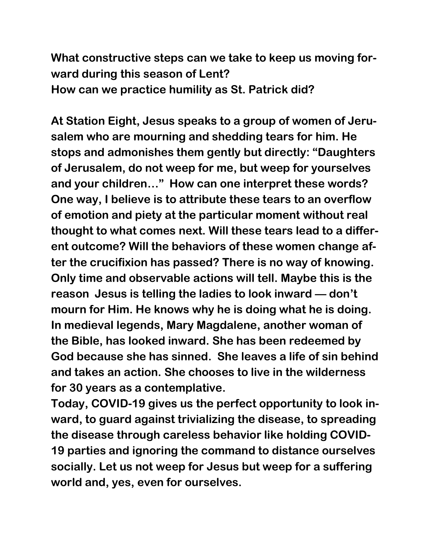**What constructive steps can we take to keep us moving forward during this season of Lent? How can we practice humility as St. Patrick did?**

**At Station Eight, Jesus speaks to a group of women of Jerusalem who are mourning and shedding tears for him. He stops and admonishes them gently but directly: "Daughters of Jerusalem, do not weep for me, but weep for yourselves and your children…" How can one interpret these words? One way, I believe is to attribute these tears to an overflow of emotion and piety at the particular moment without real thought to what comes next. Will these tears lead to a different outcome? Will the behaviors of these women change after the crucifixion has passed? There is no way of knowing. Only time and observable actions will tell. Maybe this is the reason Jesus is telling the ladies to look inward — don't mourn for Him. He knows why he is doing what he is doing. In medieval legends, Mary Magdalene, another woman of the Bible, has looked inward. She has been redeemed by God because she has sinned. She leaves a life of sin behind and takes an action. She chooses to live in the wilderness for 30 years as a contemplative.** 

**Today, COVID-19 gives us the perfect opportunity to look inward, to guard against trivializing the disease, to spreading the disease through careless behavior like holding COVID-19 parties and ignoring the command to distance ourselves socially. Let us not weep for Jesus but weep for a suffering world and, yes, even for ourselves.**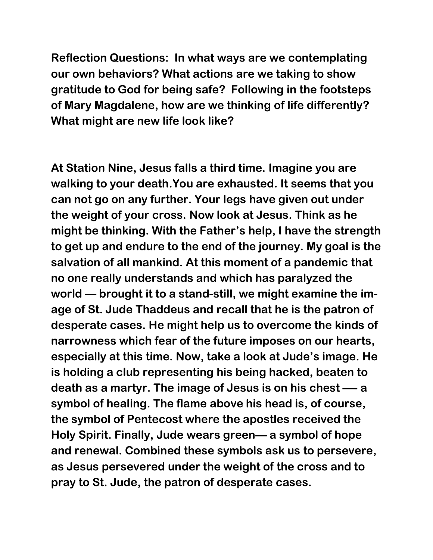**Reflection Questions: In what ways are we contemplating our own behaviors? What actions are we taking to show gratitude to God for being safe? Following in the footsteps of Mary Magdalene, how are we thinking of life differently? What might are new life look like?**

**At Station Nine, Jesus falls a third time. Imagine you are walking to your death.You are exhausted. It seems that you can not go on any further. Your legs have given out under the weight of your cross. Now look at Jesus. Think as he might be thinking. With the Father's help, I have the strength to get up and endure to the end of the journey. My goal is the salvation of all mankind. At this moment of a pandemic that no one really understands and which has paralyzed the world — brought it to a stand-still, we might examine the image of St. Jude Thaddeus and recall that he is the patron of desperate cases. He might help us to overcome the kinds of narrowness which fear of the future imposes on our hearts, especially at this time. Now, take a look at Jude's image. He is holding a club representing his being hacked, beaten to death as a martyr. The image of Jesus is on his chest —- a symbol of healing. The flame above his head is, of course, the symbol of Pentecost where the apostles received the Holy Spirit. Finally, Jude wears green— a symbol of hope and renewal. Combined these symbols ask us to persevere, as Jesus persevered under the weight of the cross and to pray to St. Jude, the patron of desperate cases.**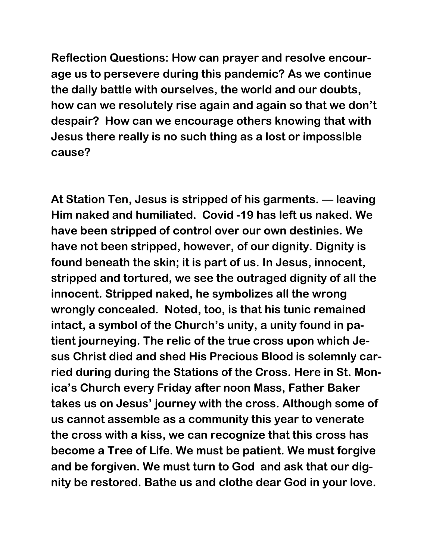**Reflection Questions: How can prayer and resolve encourage us to persevere during this pandemic? As we continue the daily battle with ourselves, the world and our doubts, how can we resolutely rise again and again so that we don't despair? How can we encourage others knowing that with Jesus there really is no such thing as a lost or impossible cause?**

**At Station Ten, Jesus is stripped of his garments. — leaving Him naked and humiliated. Covid -19 has left us naked. We have been stripped of control over our own destinies. We have not been stripped, however, of our dignity. Dignity is found beneath the skin; it is part of us. In Jesus, innocent, stripped and tortured, we see the outraged dignity of all the innocent. Stripped naked, he symbolizes all the wrong wrongly concealed. Noted, too, is that his tunic remained intact, a symbol of the Church's unity, a unity found in patient journeying. The relic of the true cross upon which Jesus Christ died and shed His Precious Blood is solemnly carried during during the Stations of the Cross. Here in St. Monica's Church every Friday after noon Mass, Father Baker takes us on Jesus' journey with the cross. Although some of us cannot assemble as a community this year to venerate the cross with a kiss, we can recognize that this cross has become a Tree of Life. We must be patient. We must forgive and be forgiven. We must turn to God and ask that our dignity be restored. Bathe us and clothe dear God in your love.**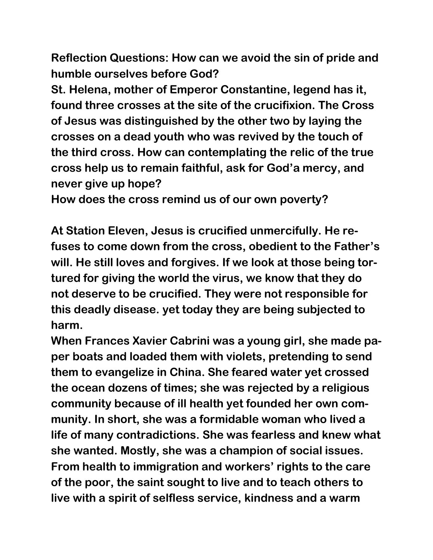**Reflection Questions: How can we avoid the sin of pride and humble ourselves before God?**

**St. Helena, mother of Emperor Constantine, legend has it, found three crosses at the site of the crucifixion. The Cross of Jesus was distinguished by the other two by laying the crosses on a dead youth who was revived by the touch of the third cross. How can contemplating the relic of the true cross help us to remain faithful, ask for God'a mercy, and never give up hope?**

**How does the cross remind us of our own poverty?**

**At Station Eleven, Jesus is crucified unmercifully. He refuses to come down from the cross, obedient to the Father's will. He still loves and forgives. If we look at those being tortured for giving the world the virus, we know that they do not deserve to be crucified. They were not responsible for this deadly disease. yet today they are being subjected to harm.**

**When Frances Xavier Cabrini was a young girl, she made paper boats and loaded them with violets, pretending to send them to evangelize in China. She feared water yet crossed the ocean dozens of times; she was rejected by a religious community because of ill health yet founded her own community. In short, she was a formidable woman who lived a life of many contradictions. She was fearless and knew what she wanted. Mostly, she was a champion of social issues. From health to immigration and workers' rights to the care of the poor, the saint sought to live and to teach others to live with a spirit of selfless service, kindness and a warm**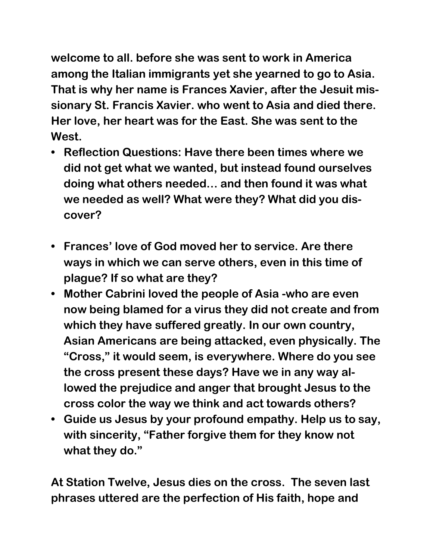**welcome to all. before she was sent to work in America among the Italian immigrants yet she yearned to go to Asia. That is why her name is Frances Xavier, after the Jesuit missionary St. Francis Xavier. who went to Asia and died there. Her love, her heart was for the East. She was sent to the West.**

- **• Reflection Questions: Have there been times where we did not get what we wanted, but instead found ourselves doing what others needed… and then found it was what we needed as well? What were they? What did you discover?**
- **• Frances' love of God moved her to service. Are there ways in which we can serve others, even in this time of plague? If so what are they?**
- **• Mother Cabrini loved the people of Asia -who are even now being blamed for a virus they did not create and from which they have suffered greatly. In our own country, Asian Americans are being attacked, even physically. The "Cross," it would seem, is everywhere. Where do you see the cross present these days? Have we in any way allowed the prejudice and anger that brought Jesus to the cross color the way we think and act towards others?**
- **• Guide us Jesus by your profound empathy. Help us to say, with sincerity, "Father forgive them for they know not what they do."**

**At Station Twelve, Jesus dies on the cross. The seven last phrases uttered are the perfection of His faith, hope and**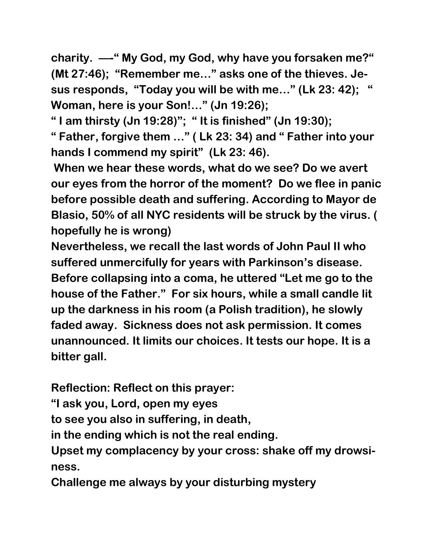**charity. —-" My God, my God, why have you forsaken me?" (Mt 27:46); "Remember me…" asks one of the thieves. Jesus responds, "Today you will be with me…" (Lk 23: 42); " Woman, here is your Son!…" (Jn 19:26);**

**" I am thirsty (Jn 19:28)"; " It is finished" (Jn 19:30);**

**" Father, forgive them …" ( Lk 23: 34) and " Father into your hands I commend my spirit" (Lk 23: 46).**

**When we hear these words, what do we see? Do we avert our eyes from the horror of the moment? Do we flee in panic before possible death and suffering. According to Mayor de Blasio, 50% of all NYC residents will be struck by the virus. ( hopefully he is wrong)**

**Nevertheless, we recall the last words of John Paul II who suffered unmercifully for years with Parkinson's disease. Before collapsing into a coma, he uttered "Let me go to the house of the Father." For six hours, while a small candle lit up the darkness in his room (a Polish tradition), he slowly faded away. Sickness does not ask permission. It comes unannounced. It limits our choices. It tests our hope. It is a bitter gall.**

**Reflection: Reflect on this prayer:** 

**"I ask you, Lord, open my eyes**

**to see you also in suffering, in death,**

**in the ending which is not the real ending.**

**Upset my complacency by your cross: shake off my drowsiness.**

**Challenge me always by your disturbing mystery**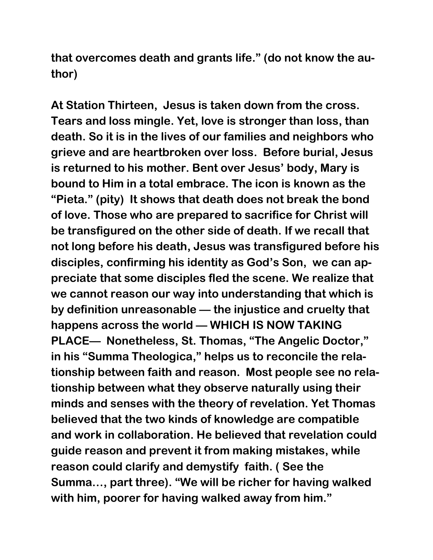**that overcomes death and grants life." (do not know the author)**

**At Station Thirteen, Jesus is taken down from the cross. Tears and loss mingle. Yet, love is stronger than loss, than death. So it is in the lives of our families and neighbors who grieve and are heartbroken over loss. Before burial, Jesus is returned to his mother. Bent over Jesus' body, Mary is bound to Him in a total embrace. The icon is known as the "Pieta." (pity) It shows that death does not break the bond of love. Those who are prepared to sacrifice for Christ will be transfigured on the other side of death. If we recall that not long before his death, Jesus was transfigured before his disciples, confirming his identity as God's Son, we can appreciate that some disciples fled the scene. We realize that we cannot reason our way into understanding that which is by definition unreasonable — the injustice and cruelty that happens across the world — WHICH IS NOW TAKING PLACE— Nonetheless, St. Thomas, "The Angelic Doctor," in his "Summa Theologica," helps us to reconcile the relationship between faith and reason. Most people see no relationship between what they observe naturally using their minds and senses with the theory of revelation. Yet Thomas believed that the two kinds of knowledge are compatible and work in collaboration. He believed that revelation could guide reason and prevent it from making mistakes, while reason could clarify and demystify faith. ( See the Summa…, part three). "We will be richer for having walked with him, poorer for having walked away from him."**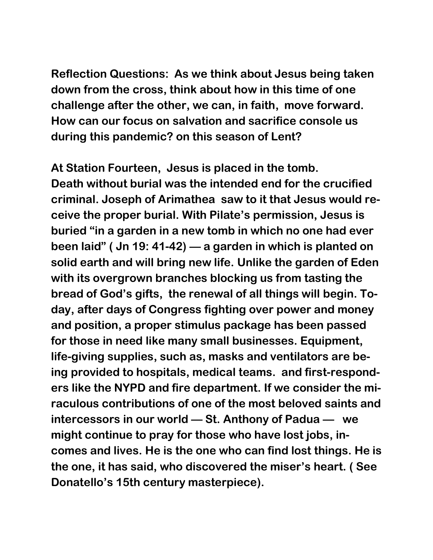**Reflection Questions: As we think about Jesus being taken down from the cross, think about how in this time of one challenge after the other, we can, in faith, move forward. How can our focus on salvation and sacrifice console us during this pandemic? on this season of Lent?**

**At Station Fourteen, Jesus is placed in the tomb. Death without burial was the intended end for the crucified criminal. Joseph of Arimathea saw to it that Jesus would receive the proper burial. With Pilate's permission, Jesus is buried "in a garden in a new tomb in which no one had ever been laid" ( Jn 19: 41-42) — a garden in which is planted on solid earth and will bring new life. Unlike the garden of Eden with its overgrown branches blocking us from tasting the bread of God's gifts, the renewal of all things will begin. Today, after days of Congress fighting over power and money and position, a proper stimulus package has been passed for those in need like many small businesses. Equipment, life-giving supplies, such as, masks and ventilators are being provided to hospitals, medical teams. and first-responders like the NYPD and fire department. If we consider the miraculous contributions of one of the most beloved saints and intercessors in our world — St. Anthony of Padua — we might continue to pray for those who have lost jobs, incomes and lives. He is the one who can find lost things. He is the one, it has said, who discovered the miser's heart. ( See Donatello's 15th century masterpiece).**